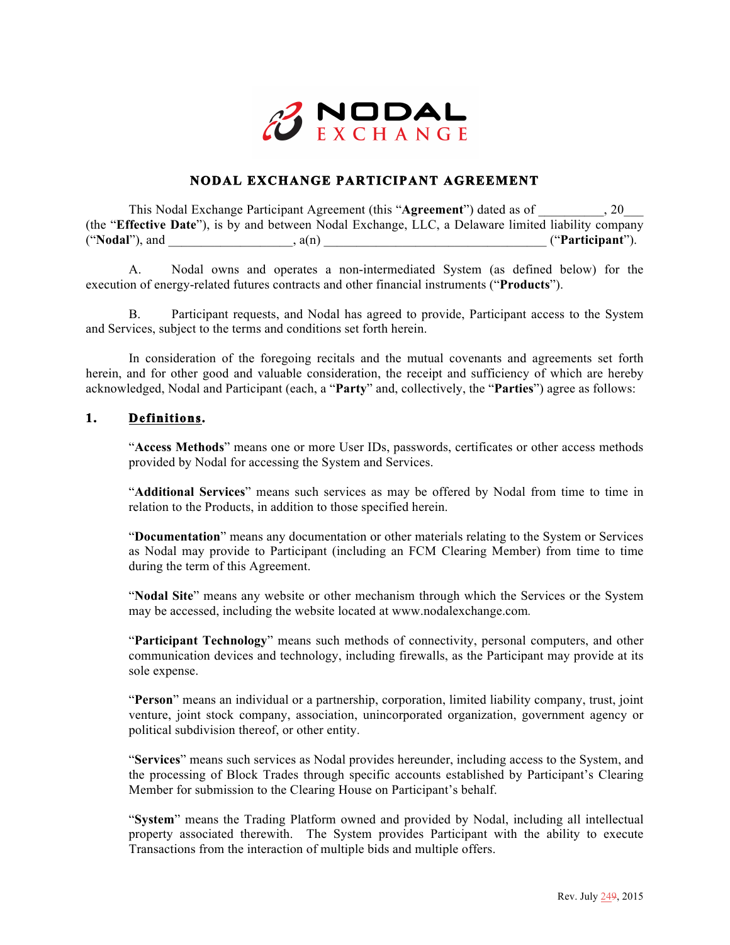

# **NODAL EXCHANGE PARTICIPANT AGREEMENT**

This Nodal Exchange Participant Agreement (this "**Agreement**") dated as of \_\_\_\_\_\_\_\_\_\_, 20\_\_\_ (the "**Effective Date**"), is by and between Nodal Exchange, LLC, a Delaware limited liability company ("**Nodal**"), and \_\_\_\_\_\_\_\_\_\_\_\_\_\_\_\_\_\_\_, a(n) \_\_\_\_\_\_\_\_\_\_\_\_\_\_\_\_\_\_\_\_\_\_\_\_\_\_\_\_\_\_\_\_\_\_ ("**Participant**").

A. Nodal owns and operates a non-intermediated System (as defined below) for the execution of energy-related futures contracts and other financial instruments ("**Products**").

B. Participant requests, and Nodal has agreed to provide, Participant access to the System and Services, subject to the terms and conditions set forth herein.

In consideration of the foregoing recitals and the mutual covenants and agreements set forth herein, and for other good and valuable consideration, the receipt and sufficiency of which are hereby acknowledged, Nodal and Participant (each, a "**Party**" and, collectively, the "**Parties**") agree as follows:

## **1. Definitions.**

"**Access Methods**" means one or more User IDs, passwords, certificates or other access methods provided by Nodal for accessing the System and Services.

"**Additional Services**" means such services as may be offered by Nodal from time to time in relation to the Products, in addition to those specified herein.

"**Documentation**" means any documentation or other materials relating to the System or Services as Nodal may provide to Participant (including an FCM Clearing Member) from time to time during the term of this Agreement.

"**Nodal Site**" means any website or other mechanism through which the Services or the System may be accessed, including the website located at www.nodalexchange.com*.* 

"**Participant Technology**" means such methods of connectivity, personal computers, and other communication devices and technology, including firewalls, as the Participant may provide at its sole expense.

"**Person**" means an individual or a partnership, corporation, limited liability company, trust, joint venture, joint stock company, association, unincorporated organization, government agency or political subdivision thereof, or other entity.

"**Services**" means such services as Nodal provides hereunder, including access to the System, and the processing of Block Trades through specific accounts established by Participant's Clearing Member for submission to the Clearing House on Participant's behalf.

"**System**" means the Trading Platform owned and provided by Nodal, including all intellectual property associated therewith. The System provides Participant with the ability to execute Transactions from the interaction of multiple bids and multiple offers.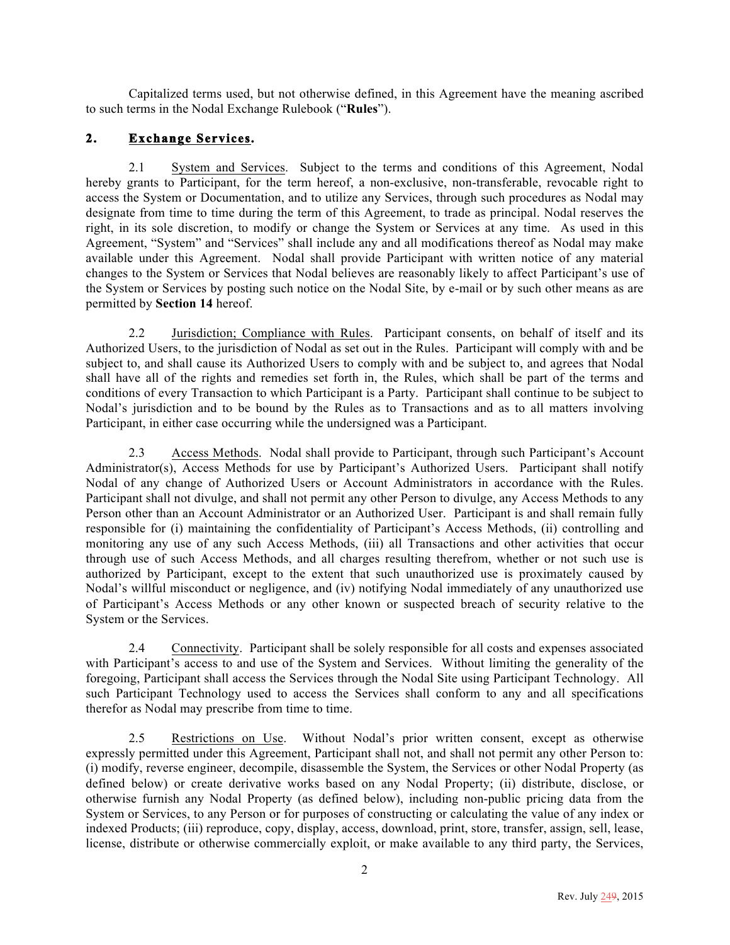Capitalized terms used, but not otherwise defined, in this Agreement have the meaning ascribed to such terms in the Nodal Exchange Rulebook ("**Rules**").

# **2. Exchange Services.**

2.1 System and Services. Subject to the terms and conditions of this Agreement, Nodal hereby grants to Participant, for the term hereof, a non-exclusive, non-transferable, revocable right to access the System or Documentation, and to utilize any Services, through such procedures as Nodal may designate from time to time during the term of this Agreement, to trade as principal. Nodal reserves the right, in its sole discretion, to modify or change the System or Services at any time. As used in this Agreement, "System" and "Services" shall include any and all modifications thereof as Nodal may make available under this Agreement. Nodal shall provide Participant with written notice of any material changes to the System or Services that Nodal believes are reasonably likely to affect Participant's use of the System or Services by posting such notice on the Nodal Site, by e-mail or by such other means as are permitted by **Section 14** hereof.

2.2 Jurisdiction; Compliance with Rules. Participant consents, on behalf of itself and its Authorized Users, to the jurisdiction of Nodal as set out in the Rules. Participant will comply with and be subject to, and shall cause its Authorized Users to comply with and be subject to, and agrees that Nodal shall have all of the rights and remedies set forth in, the Rules, which shall be part of the terms and conditions of every Transaction to which Participant is a Party. Participant shall continue to be subject to Nodal's jurisdiction and to be bound by the Rules as to Transactions and as to all matters involving Participant, in either case occurring while the undersigned was a Participant.

2.3 Access Methods. Nodal shall provide to Participant, through such Participant's Account Administrator(s), Access Methods for use by Participant's Authorized Users. Participant shall notify Nodal of any change of Authorized Users or Account Administrators in accordance with the Rules. Participant shall not divulge, and shall not permit any other Person to divulge, any Access Methods to any Person other than an Account Administrator or an Authorized User. Participant is and shall remain fully responsible for (i) maintaining the confidentiality of Participant's Access Methods, (ii) controlling and monitoring any use of any such Access Methods, (iii) all Transactions and other activities that occur through use of such Access Methods, and all charges resulting therefrom, whether or not such use is authorized by Participant, except to the extent that such unauthorized use is proximately caused by Nodal's willful misconduct or negligence, and (iv) notifying Nodal immediately of any unauthorized use of Participant's Access Methods or any other known or suspected breach of security relative to the System or the Services.

2.4 Connectivity. Participant shall be solely responsible for all costs and expenses associated with Participant's access to and use of the System and Services. Without limiting the generality of the foregoing, Participant shall access the Services through the Nodal Site using Participant Technology. All such Participant Technology used to access the Services shall conform to any and all specifications therefor as Nodal may prescribe from time to time.

2.5 Restrictions on Use. Without Nodal's prior written consent, except as otherwise expressly permitted under this Agreement, Participant shall not, and shall not permit any other Person to: (i) modify, reverse engineer, decompile, disassemble the System, the Services or other Nodal Property (as defined below) or create derivative works based on any Nodal Property; (ii) distribute, disclose, or otherwise furnish any Nodal Property (as defined below), including non-public pricing data from the System or Services, to any Person or for purposes of constructing or calculating the value of any index or indexed Products; (iii) reproduce, copy, display, access, download, print, store, transfer, assign, sell, lease, license, distribute or otherwise commercially exploit, or make available to any third party, the Services,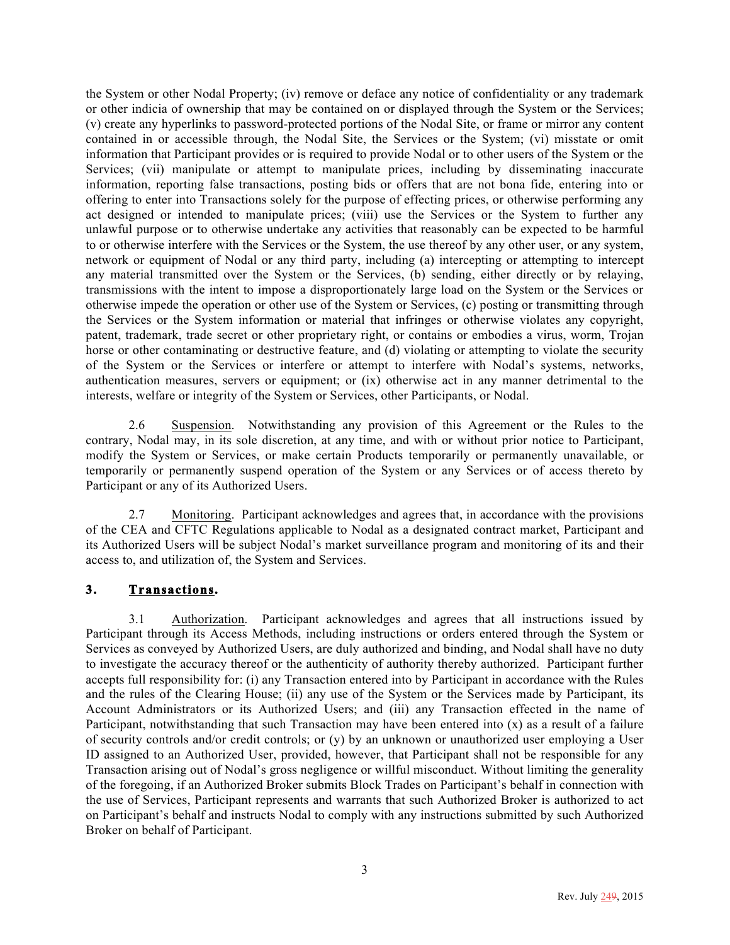the System or other Nodal Property; (iv) remove or deface any notice of confidentiality or any trademark or other indicia of ownership that may be contained on or displayed through the System or the Services; (v) create any hyperlinks to password-protected portions of the Nodal Site, or frame or mirror any content contained in or accessible through, the Nodal Site, the Services or the System; (vi) misstate or omit information that Participant provides or is required to provide Nodal or to other users of the System or the Services; (vii) manipulate or attempt to manipulate prices, including by disseminating inaccurate information, reporting false transactions, posting bids or offers that are not bona fide, entering into or offering to enter into Transactions solely for the purpose of effecting prices, or otherwise performing any act designed or intended to manipulate prices; (viii) use the Services or the System to further any unlawful purpose or to otherwise undertake any activities that reasonably can be expected to be harmful to or otherwise interfere with the Services or the System, the use thereof by any other user, or any system, network or equipment of Nodal or any third party, including (a) intercepting or attempting to intercept any material transmitted over the System or the Services, (b) sending, either directly or by relaying, transmissions with the intent to impose a disproportionately large load on the System or the Services or otherwise impede the operation or other use of the System or Services, (c) posting or transmitting through the Services or the System information or material that infringes or otherwise violates any copyright, patent, trademark, trade secret or other proprietary right, or contains or embodies a virus, worm, Trojan horse or other contaminating or destructive feature, and (d) violating or attempting to violate the security of the System or the Services or interfere or attempt to interfere with Nodal's systems, networks, authentication measures, servers or equipment; or (ix) otherwise act in any manner detrimental to the interests, welfare or integrity of the System or Services, other Participants, or Nodal.

2.6 Suspension. Notwithstanding any provision of this Agreement or the Rules to the contrary, Nodal may, in its sole discretion, at any time, and with or without prior notice to Participant, modify the System or Services, or make certain Products temporarily or permanently unavailable, or temporarily or permanently suspend operation of the System or any Services or of access thereto by Participant or any of its Authorized Users.

2.7 Monitoring. Participant acknowledges and agrees that, in accordance with the provisions of the CEA and CFTC Regulations applicable to Nodal as a designated contract market, Participant and its Authorized Users will be subject Nodal's market surveillance program and monitoring of its and their access to, and utilization of, the System and Services.

# **3. Transactions.**

3.1 Authorization. Participant acknowledges and agrees that all instructions issued by Participant through its Access Methods, including instructions or orders entered through the System or Services as conveyed by Authorized Users, are duly authorized and binding, and Nodal shall have no duty to investigate the accuracy thereof or the authenticity of authority thereby authorized. Participant further accepts full responsibility for: (i) any Transaction entered into by Participant in accordance with the Rules and the rules of the Clearing House; (ii) any use of the System or the Services made by Participant, its Account Administrators or its Authorized Users; and (iii) any Transaction effected in the name of Participant, notwithstanding that such Transaction may have been entered into  $(x)$  as a result of a failure of security controls and/or credit controls; or  $(y)$  by an unknown or unauthorized user employing a User ID assigned to an Authorized User, provided, however, that Participant shall not be responsible for any Transaction arising out of Nodal's gross negligence or willful misconduct. Without limiting the generality of the foregoing, if an Authorized Broker submits Block Trades on Participant's behalf in connection with the use of Services, Participant represents and warrants that such Authorized Broker is authorized to act on Participant's behalf and instructs Nodal to comply with any instructions submitted by such Authorized Broker on behalf of Participant.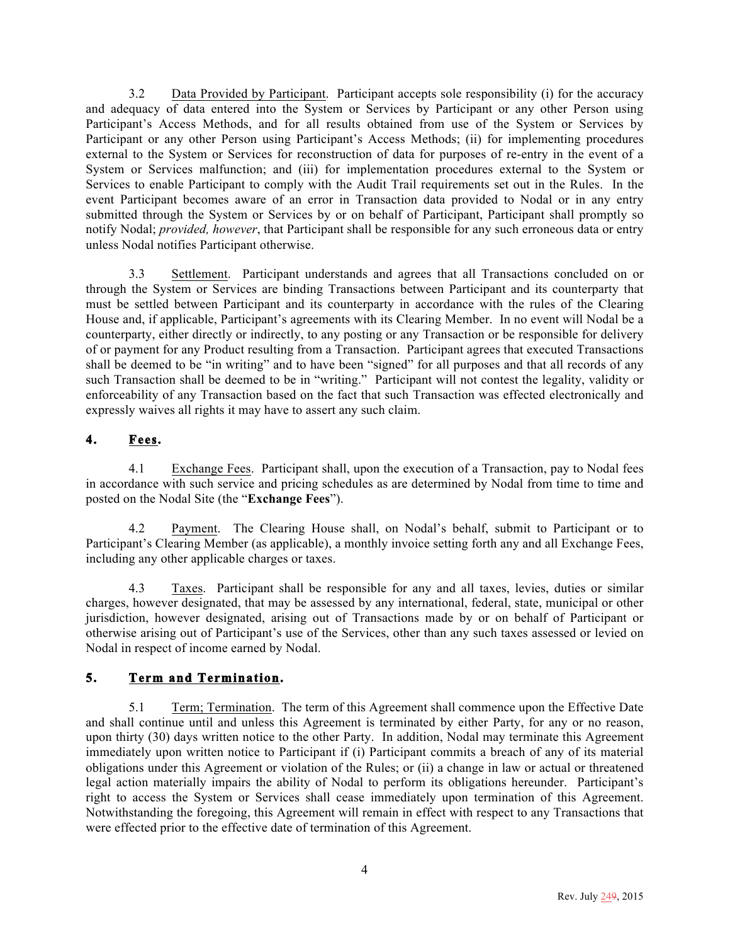3.2 Data Provided by Participant. Participant accepts sole responsibility (i) for the accuracy and adequacy of data entered into the System or Services by Participant or any other Person using Participant's Access Methods, and for all results obtained from use of the System or Services by Participant or any other Person using Participant's Access Methods; (ii) for implementing procedures external to the System or Services for reconstruction of data for purposes of re-entry in the event of a System or Services malfunction; and (iii) for implementation procedures external to the System or Services to enable Participant to comply with the Audit Trail requirements set out in the Rules. In the event Participant becomes aware of an error in Transaction data provided to Nodal or in any entry submitted through the System or Services by or on behalf of Participant, Participant shall promptly so notify Nodal; *provided, however*, that Participant shall be responsible for any such erroneous data or entry unless Nodal notifies Participant otherwise.

3.3 Settlement. Participant understands and agrees that all Transactions concluded on or through the System or Services are binding Transactions between Participant and its counterparty that must be settled between Participant and its counterparty in accordance with the rules of the Clearing House and, if applicable, Participant's agreements with its Clearing Member. In no event will Nodal be a counterparty, either directly or indirectly, to any posting or any Transaction or be responsible for delivery of or payment for any Product resulting from a Transaction. Participant agrees that executed Transactions shall be deemed to be "in writing" and to have been "signed" for all purposes and that all records of any such Transaction shall be deemed to be in "writing." Participant will not contest the legality, validity or enforceability of any Transaction based on the fact that such Transaction was effected electronically and expressly waives all rights it may have to assert any such claim.

# **4. Fees.**

4.1 Exchange Fees. Participant shall, upon the execution of a Transaction, pay to Nodal fees in accordance with such service and pricing schedules as are determined by Nodal from time to time and posted on the Nodal Site (the "**Exchange Fees**").

4.2 Payment. The Clearing House shall, on Nodal's behalf, submit to Participant or to Participant's Clearing Member (as applicable), a monthly invoice setting forth any and all Exchange Fees, including any other applicable charges or taxes.

4.3 Taxes. Participant shall be responsible for any and all taxes, levies, duties or similar charges, however designated, that may be assessed by any international, federal, state, municipal or other jurisdiction, however designated, arising out of Transactions made by or on behalf of Participant or otherwise arising out of Participant's use of the Services, other than any such taxes assessed or levied on Nodal in respect of income earned by Nodal.

# **5. Term and Termination.**

5.1 Term; Termination. The term of this Agreement shall commence upon the Effective Date and shall continue until and unless this Agreement is terminated by either Party, for any or no reason, upon thirty (30) days written notice to the other Party. In addition, Nodal may terminate this Agreement immediately upon written notice to Participant if (i) Participant commits a breach of any of its material obligations under this Agreement or violation of the Rules; or (ii) a change in law or actual or threatened legal action materially impairs the ability of Nodal to perform its obligations hereunder. Participant's right to access the System or Services shall cease immediately upon termination of this Agreement. Notwithstanding the foregoing, this Agreement will remain in effect with respect to any Transactions that were effected prior to the effective date of termination of this Agreement.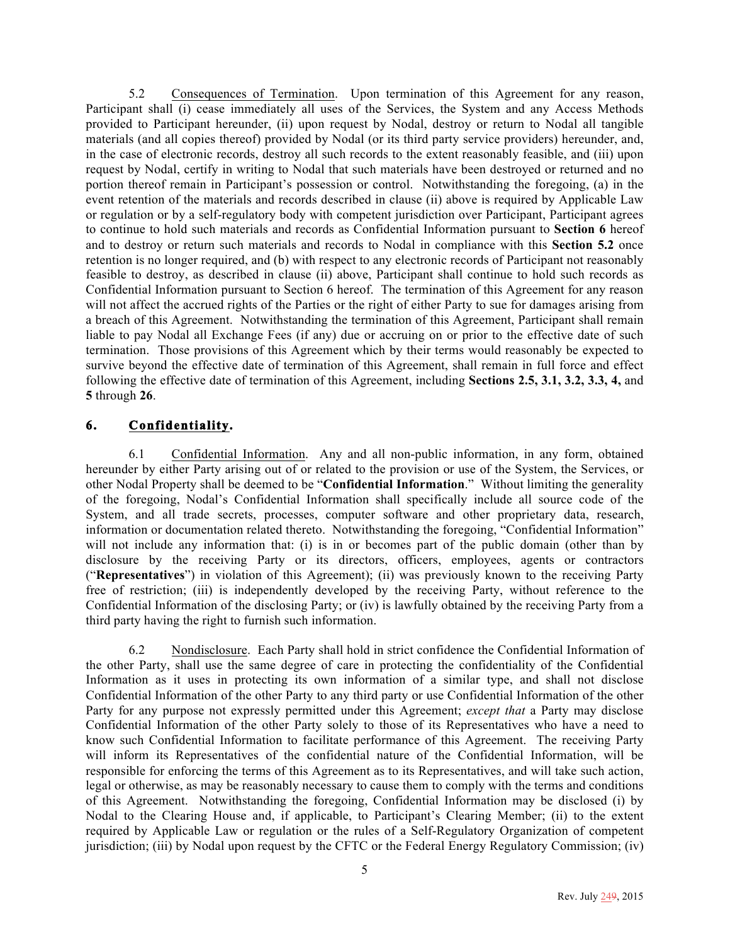5.2 Consequences of Termination. Upon termination of this Agreement for any reason, Participant shall (i) cease immediately all uses of the Services, the System and any Access Methods provided to Participant hereunder, (ii) upon request by Nodal, destroy or return to Nodal all tangible materials (and all copies thereof) provided by Nodal (or its third party service providers) hereunder, and, in the case of electronic records, destroy all such records to the extent reasonably feasible, and (iii) upon request by Nodal, certify in writing to Nodal that such materials have been destroyed or returned and no portion thereof remain in Participant's possession or control. Notwithstanding the foregoing, (a) in the event retention of the materials and records described in clause (ii) above is required by Applicable Law or regulation or by a self-regulatory body with competent jurisdiction over Participant, Participant agrees to continue to hold such materials and records as Confidential Information pursuant to **Section 6** hereof and to destroy or return such materials and records to Nodal in compliance with this **Section 5.2** once retention is no longer required, and (b) with respect to any electronic records of Participant not reasonably feasible to destroy, as described in clause (ii) above, Participant shall continue to hold such records as Confidential Information pursuant to Section 6 hereof. The termination of this Agreement for any reason will not affect the accrued rights of the Parties or the right of either Party to sue for damages arising from a breach of this Agreement. Notwithstanding the termination of this Agreement, Participant shall remain liable to pay Nodal all Exchange Fees (if any) due or accruing on or prior to the effective date of such termination. Those provisions of this Agreement which by their terms would reasonably be expected to survive beyond the effective date of termination of this Agreement, shall remain in full force and effect following the effective date of termination of this Agreement, including **Sections 2.5, 3.1, 3.2, 3.3, 4,** and **5** through **26**.

# **6. Confidentiality.**

6.1 Confidential Information. Any and all non-public information, in any form, obtained hereunder by either Party arising out of or related to the provision or use of the System, the Services, or other Nodal Property shall be deemed to be "**Confidential Information**." Without limiting the generality of the foregoing, Nodal's Confidential Information shall specifically include all source code of the System, and all trade secrets, processes, computer software and other proprietary data, research, information or documentation related thereto. Notwithstanding the foregoing, "Confidential Information" will not include any information that: (i) is in or becomes part of the public domain (other than by disclosure by the receiving Party or its directors, officers, employees, agents or contractors ("**Representatives**") in violation of this Agreement); (ii) was previously known to the receiving Party free of restriction; (iii) is independently developed by the receiving Party, without reference to the Confidential Information of the disclosing Party; or (iv) is lawfully obtained by the receiving Party from a third party having the right to furnish such information.

6.2 Nondisclosure. Each Party shall hold in strict confidence the Confidential Information of the other Party, shall use the same degree of care in protecting the confidentiality of the Confidential Information as it uses in protecting its own information of a similar type, and shall not disclose Confidential Information of the other Party to any third party or use Confidential Information of the other Party for any purpose not expressly permitted under this Agreement; *except that* a Party may disclose Confidential Information of the other Party solely to those of its Representatives who have a need to know such Confidential Information to facilitate performance of this Agreement. The receiving Party will inform its Representatives of the confidential nature of the Confidential Information, will be responsible for enforcing the terms of this Agreement as to its Representatives, and will take such action, legal or otherwise, as may be reasonably necessary to cause them to comply with the terms and conditions of this Agreement. Notwithstanding the foregoing, Confidential Information may be disclosed (i) by Nodal to the Clearing House and, if applicable, to Participant's Clearing Member; (ii) to the extent required by Applicable Law or regulation or the rules of a Self-Regulatory Organization of competent jurisdiction; (iii) by Nodal upon request by the CFTC or the Federal Energy Regulatory Commission; (iv)

5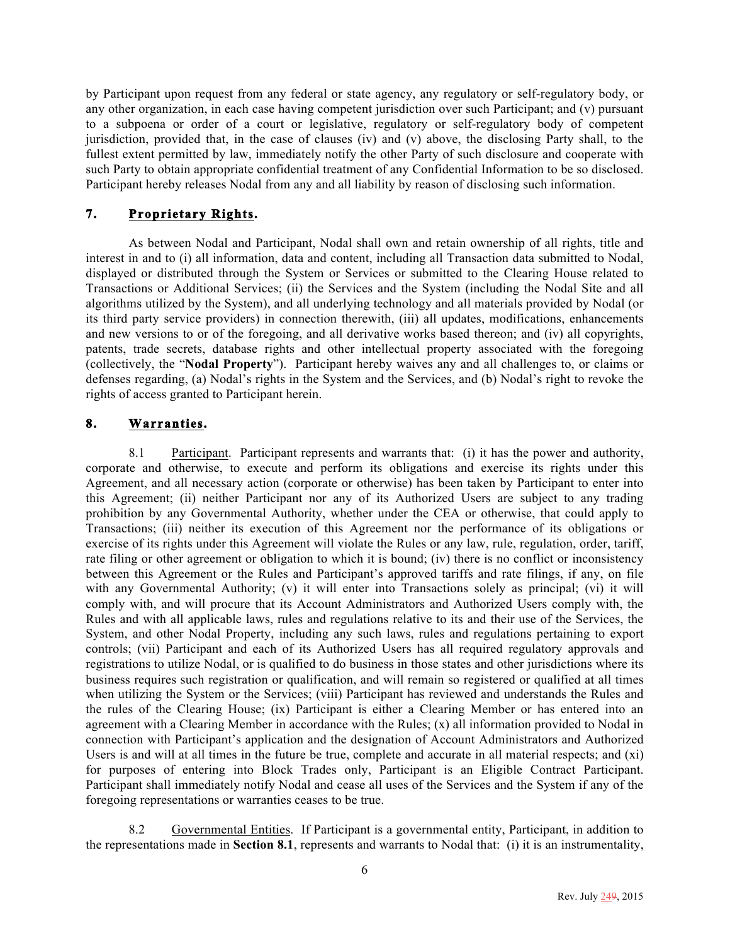by Participant upon request from any federal or state agency, any regulatory or self-regulatory body, or any other organization, in each case having competent jurisdiction over such Participant; and (v) pursuant to a subpoena or order of a court or legislative, regulatory or self-regulatory body of competent jurisdiction, provided that, in the case of clauses (iv) and (v) above, the disclosing Party shall, to the fullest extent permitted by law, immediately notify the other Party of such disclosure and cooperate with such Party to obtain appropriate confidential treatment of any Confidential Information to be so disclosed. Participant hereby releases Nodal from any and all liability by reason of disclosing such information.

# **7. Proprietary Rights.**

As between Nodal and Participant, Nodal shall own and retain ownership of all rights, title and interest in and to (i) all information, data and content, including all Transaction data submitted to Nodal, displayed or distributed through the System or Services or submitted to the Clearing House related to Transactions or Additional Services; (ii) the Services and the System (including the Nodal Site and all algorithms utilized by the System), and all underlying technology and all materials provided by Nodal (or its third party service providers) in connection therewith, (iii) all updates, modifications, enhancements and new versions to or of the foregoing, and all derivative works based thereon; and (iv) all copyrights, patents, trade secrets, database rights and other intellectual property associated with the foregoing (collectively, the "**Nodal Property**"). Participant hereby waives any and all challenges to, or claims or defenses regarding, (a) Nodal's rights in the System and the Services, and (b) Nodal's right to revoke the rights of access granted to Participant herein.

# **8. Warranties.**

8.1 Participant. Participant represents and warrants that: (i) it has the power and authority, corporate and otherwise, to execute and perform its obligations and exercise its rights under this Agreement, and all necessary action (corporate or otherwise) has been taken by Participant to enter into this Agreement; (ii) neither Participant nor any of its Authorized Users are subject to any trading prohibition by any Governmental Authority, whether under the CEA or otherwise, that could apply to Transactions; (iii) neither its execution of this Agreement nor the performance of its obligations or exercise of its rights under this Agreement will violate the Rules or any law, rule, regulation, order, tariff, rate filing or other agreement or obligation to which it is bound; (iv) there is no conflict or inconsistency between this Agreement or the Rules and Participant's approved tariffs and rate filings, if any, on file with any Governmental Authority; (v) it will enter into Transactions solely as principal; (vi) it will comply with, and will procure that its Account Administrators and Authorized Users comply with, the Rules and with all applicable laws, rules and regulations relative to its and their use of the Services, the System, and other Nodal Property, including any such laws, rules and regulations pertaining to export controls; (vii) Participant and each of its Authorized Users has all required regulatory approvals and registrations to utilize Nodal, or is qualified to do business in those states and other jurisdictions where its business requires such registration or qualification, and will remain so registered or qualified at all times when utilizing the System or the Services; (viii) Participant has reviewed and understands the Rules and the rules of the Clearing House; (ix) Participant is either a Clearing Member or has entered into an agreement with a Clearing Member in accordance with the Rules; (x) all information provided to Nodal in connection with Participant's application and the designation of Account Administrators and Authorized Users is and will at all times in the future be true, complete and accurate in all material respects; and (xi) for purposes of entering into Block Trades only, Participant is an Eligible Contract Participant. Participant shall immediately notify Nodal and cease all uses of the Services and the System if any of the foregoing representations or warranties ceases to be true.

8.2 Governmental Entities. If Participant is a governmental entity, Participant, in addition to the representations made in **Section 8.1**, represents and warrants to Nodal that: (i) it is an instrumentality,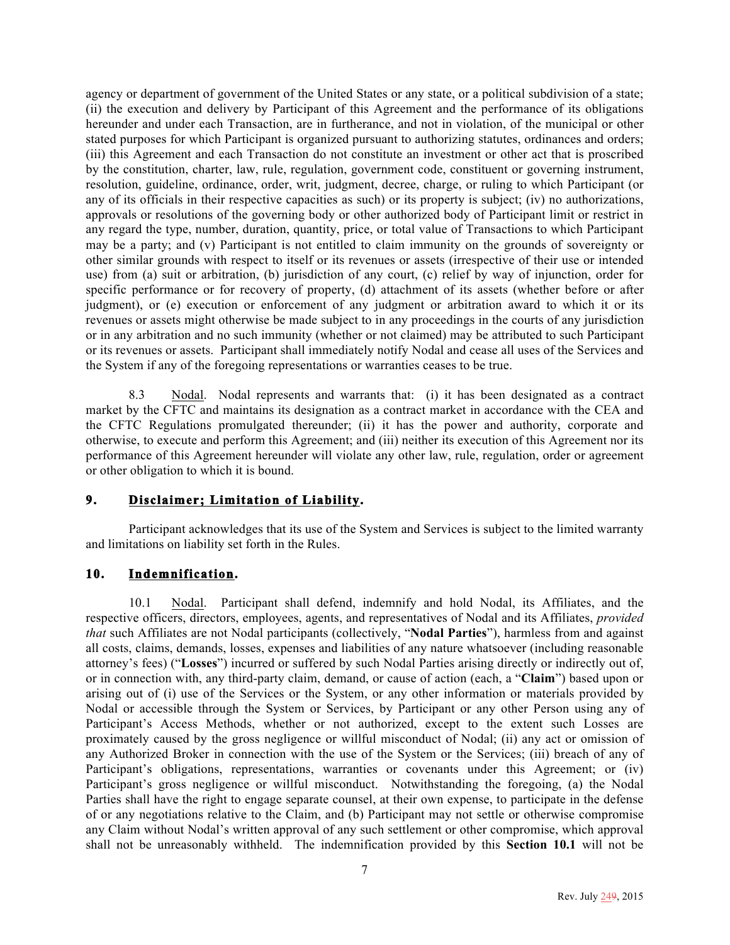agency or department of government of the United States or any state, or a political subdivision of a state; (ii) the execution and delivery by Participant of this Agreement and the performance of its obligations hereunder and under each Transaction, are in furtherance, and not in violation, of the municipal or other stated purposes for which Participant is organized pursuant to authorizing statutes, ordinances and orders; (iii) this Agreement and each Transaction do not constitute an investment or other act that is proscribed by the constitution, charter, law, rule, regulation, government code, constituent or governing instrument, resolution, guideline, ordinance, order, writ, judgment, decree, charge, or ruling to which Participant (or any of its officials in their respective capacities as such) or its property is subject; (iv) no authorizations, approvals or resolutions of the governing body or other authorized body of Participant limit or restrict in any regard the type, number, duration, quantity, price, or total value of Transactions to which Participant may be a party; and (v) Participant is not entitled to claim immunity on the grounds of sovereignty or other similar grounds with respect to itself or its revenues or assets (irrespective of their use or intended use) from (a) suit or arbitration, (b) jurisdiction of any court, (c) relief by way of injunction, order for specific performance or for recovery of property, (d) attachment of its assets (whether before or after judgment), or (e) execution or enforcement of any judgment or arbitration award to which it or its revenues or assets might otherwise be made subject to in any proceedings in the courts of any jurisdiction or in any arbitration and no such immunity (whether or not claimed) may be attributed to such Participant or its revenues or assets. Participant shall immediately notify Nodal and cease all uses of the Services and the System if any of the foregoing representations or warranties ceases to be true.

8.3 Nodal. Nodal represents and warrants that: (i) it has been designated as a contract market by the CFTC and maintains its designation as a contract market in accordance with the CEA and the CFTC Regulations promulgated thereunder; (ii) it has the power and authority, corporate and otherwise, to execute and perform this Agreement; and (iii) neither its execution of this Agreement nor its performance of this Agreement hereunder will violate any other law, rule, regulation, order or agreement or other obligation to which it is bound.

# **9. Disclaimer; Limitation of Liability.**

Participant acknowledges that its use of the System and Services is subject to the limited warranty and limitations on liability set forth in the Rules.

# **10. Indemnification.**

10.1 Nodal. Participant shall defend, indemnify and hold Nodal, its Affiliates, and the respective officers, directors, employees, agents, and representatives of Nodal and its Affiliates, *provided that* such Affiliates are not Nodal participants (collectively, "**Nodal Parties**"), harmless from and against all costs, claims, demands, losses, expenses and liabilities of any nature whatsoever (including reasonable attorney's fees) ("**Losses**") incurred or suffered by such Nodal Parties arising directly or indirectly out of, or in connection with, any third-party claim, demand, or cause of action (each, a "**Claim**") based upon or arising out of (i) use of the Services or the System, or any other information or materials provided by Nodal or accessible through the System or Services, by Participant or any other Person using any of Participant's Access Methods, whether or not authorized, except to the extent such Losses are proximately caused by the gross negligence or willful misconduct of Nodal; (ii) any act or omission of any Authorized Broker in connection with the use of the System or the Services; (iii) breach of any of Participant's obligations, representations, warranties or covenants under this Agreement; or (iv) Participant's gross negligence or willful misconduct. Notwithstanding the foregoing, (a) the Nodal Parties shall have the right to engage separate counsel, at their own expense, to participate in the defense of or any negotiations relative to the Claim, and (b) Participant may not settle or otherwise compromise any Claim without Nodal's written approval of any such settlement or other compromise, which approval shall not be unreasonably withheld. The indemnification provided by this **Section 10.1** will not be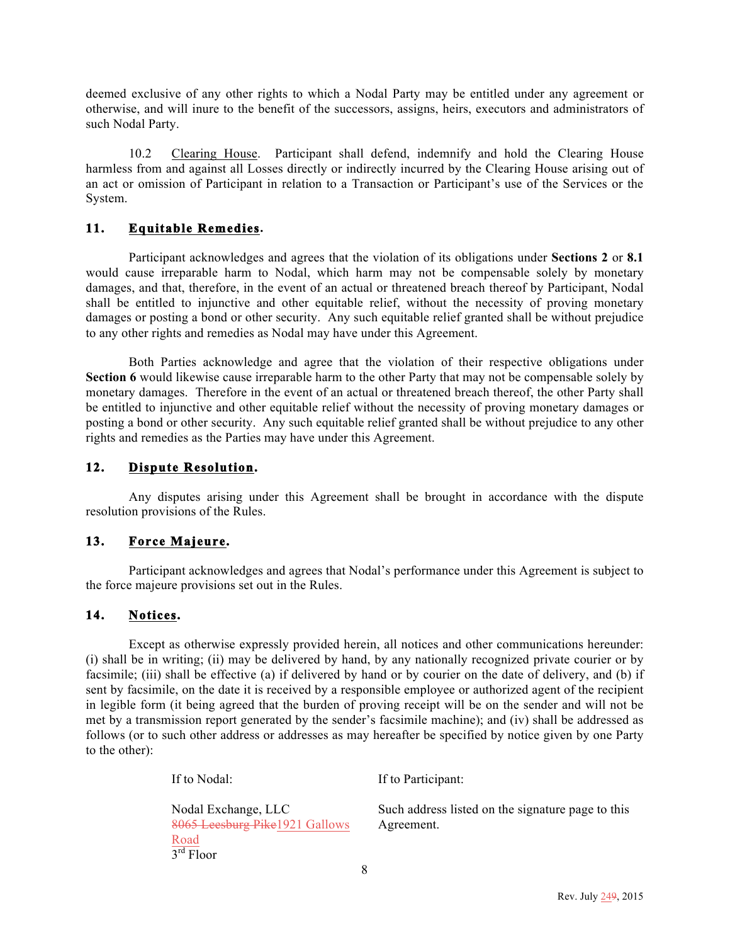deemed exclusive of any other rights to which a Nodal Party may be entitled under any agreement or otherwise, and will inure to the benefit of the successors, assigns, heirs, executors and administrators of such Nodal Party.

10.2 Clearing House. Participant shall defend, indemnify and hold the Clearing House harmless from and against all Losses directly or indirectly incurred by the Clearing House arising out of an act or omission of Participant in relation to a Transaction or Participant's use of the Services or the System.

## **11. Equitable Remedies.**

Participant acknowledges and agrees that the violation of its obligations under **Sections 2** or **8.1** would cause irreparable harm to Nodal, which harm may not be compensable solely by monetary damages, and that, therefore, in the event of an actual or threatened breach thereof by Participant, Nodal shall be entitled to injunctive and other equitable relief, without the necessity of proving monetary damages or posting a bond or other security. Any such equitable relief granted shall be without prejudice to any other rights and remedies as Nodal may have under this Agreement.

Both Parties acknowledge and agree that the violation of their respective obligations under **Section 6** would likewise cause irreparable harm to the other Party that may not be compensable solely by monetary damages. Therefore in the event of an actual or threatened breach thereof, the other Party shall be entitled to injunctive and other equitable relief without the necessity of proving monetary damages or posting a bond or other security. Any such equitable relief granted shall be without prejudice to any other rights and remedies as the Parties may have under this Agreement.

## **12. Dispute Resolution.**

Any disputes arising under this Agreement shall be brought in accordance with the dispute resolution provisions of the Rules.

# **13. Force Majeure.**

Participant acknowledges and agrees that Nodal's performance under this Agreement is subject to the force majeure provisions set out in the Rules.

#### **14. Notices.**

Except as otherwise expressly provided herein, all notices and other communications hereunder: (i) shall be in writing; (ii) may be delivered by hand, by any nationally recognized private courier or by facsimile; (iii) shall be effective (a) if delivered by hand or by courier on the date of delivery, and (b) if sent by facsimile, on the date it is received by a responsible employee or authorized agent of the recipient in legible form (it being agreed that the burden of proving receipt will be on the sender and will not be met by a transmission report generated by the sender's facsimile machine); and (iv) shall be addressed as follows (or to such other address or addresses as may hereafter be specified by notice given by one Party to the other):

| If to Nodal:                                                                                             | If to Participant:                                              |
|----------------------------------------------------------------------------------------------------------|-----------------------------------------------------------------|
| Nodal Exchange, LLC<br>8065 Leesburg Pike1921 Gallows<br>$rac{\text{Road}}{3^{\text{rd}} \text{ Floor}}$ | Such address listed on the signature page to this<br>Agreement. |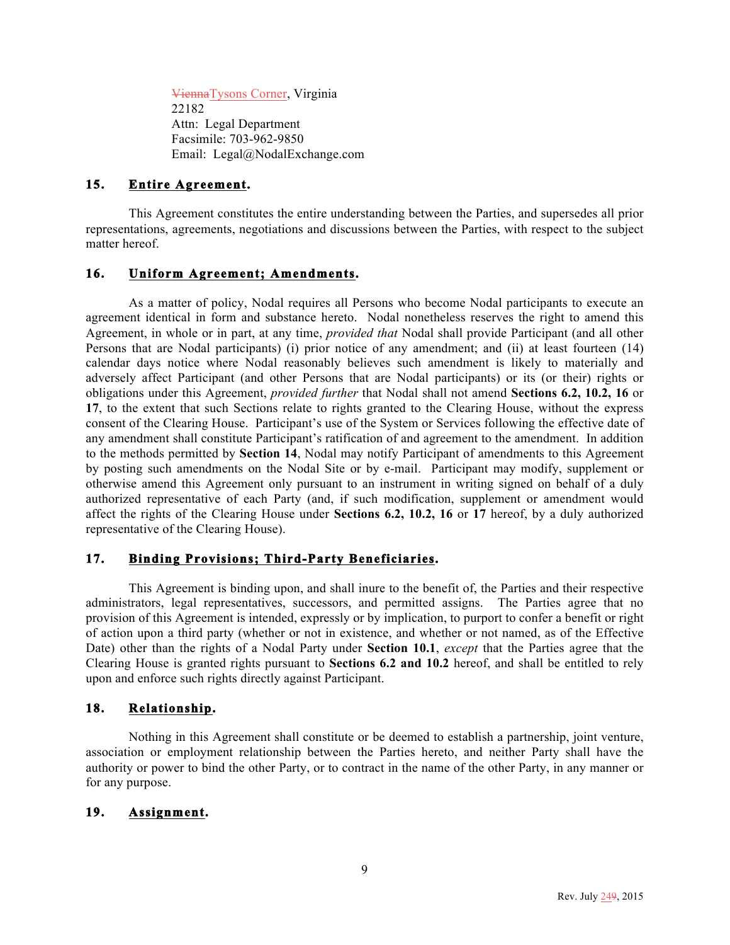ViennaTysons Corner, Virginia 22182 Attn: Legal Department Facsimile: 703-962-9850 Email: Legal@NodalExchange.com

# **15. Entire Agreement.**

This Agreement constitutes the entire understanding between the Parties, and supersedes all prior representations, agreements, negotiations and discussions between the Parties, with respect to the subject matter hereof.

# **16. Uniform Agreement; Amendments.**

As a matter of policy, Nodal requires all Persons who become Nodal participants to execute an agreement identical in form and substance hereto. Nodal nonetheless reserves the right to amend this Agreement, in whole or in part, at any time, *provided that* Nodal shall provide Participant (and all other Persons that are Nodal participants) (i) prior notice of any amendment; and (ii) at least fourteen (14) calendar days notice where Nodal reasonably believes such amendment is likely to materially and adversely affect Participant (and other Persons that are Nodal participants) or its (or their) rights or obligations under this Agreement, *provided further* that Nodal shall not amend **Sections 6.2, 10.2, 16** or **17**, to the extent that such Sections relate to rights granted to the Clearing House, without the express consent of the Clearing House. Participant's use of the System or Services following the effective date of any amendment shall constitute Participant's ratification of and agreement to the amendment. In addition to the methods permitted by **Section 14**, Nodal may notify Participant of amendments to this Agreement by posting such amendments on the Nodal Site or by e-mail. Participant may modify, supplement or otherwise amend this Agreement only pursuant to an instrument in writing signed on behalf of a duly authorized representative of each Party (and, if such modification, supplement or amendment would affect the rights of the Clearing House under **Sections 6.2, 10.2, 16** or **17** hereof, by a duly authorized representative of the Clearing House).

# **17. Binding Provisions; Third-Party Beneficiaries.**

This Agreement is binding upon, and shall inure to the benefit of, the Parties and their respective administrators, legal representatives, successors, and permitted assigns. The Parties agree that no provision of this Agreement is intended, expressly or by implication, to purport to confer a benefit or right of action upon a third party (whether or not in existence, and whether or not named, as of the Effective Date) other than the rights of a Nodal Party under **Section 10.1**, *except* that the Parties agree that the Clearing House is granted rights pursuant to **Sections 6.2 and 10.2** hereof, and shall be entitled to rely upon and enforce such rights directly against Participant.

# **18. Relationship.**

Nothing in this Agreement shall constitute or be deemed to establish a partnership, joint venture, association or employment relationship between the Parties hereto, and neither Party shall have the authority or power to bind the other Party, or to contract in the name of the other Party, in any manner or for any purpose.

#### **19. Assignment.**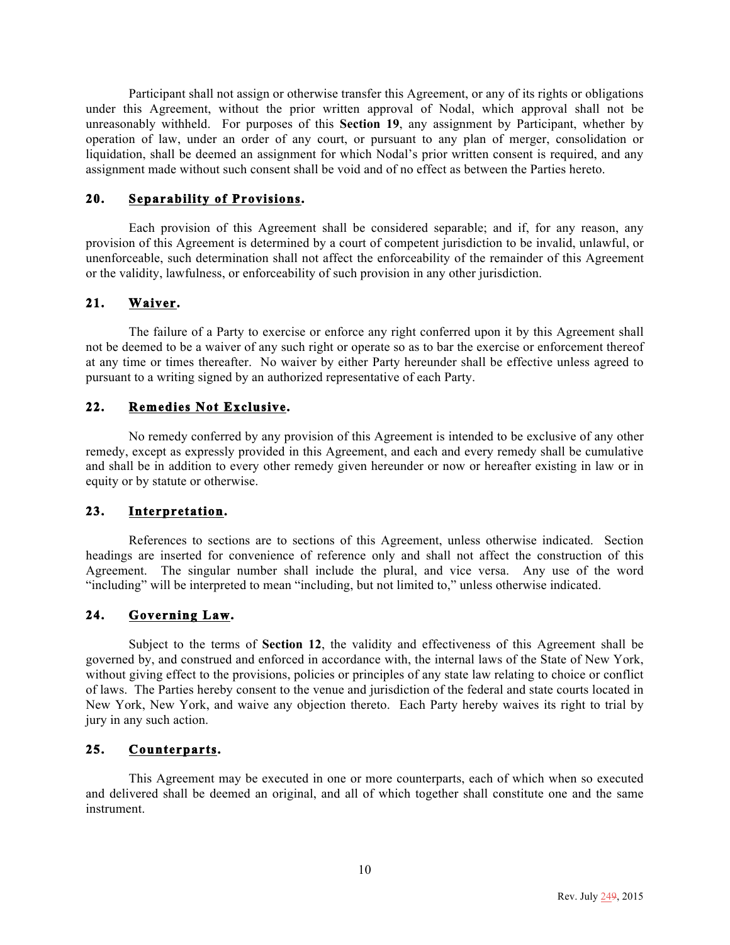Participant shall not assign or otherwise transfer this Agreement, or any of its rights or obligations under this Agreement, without the prior written approval of Nodal, which approval shall not be unreasonably withheld. For purposes of this **Section 19**, any assignment by Participant, whether by operation of law, under an order of any court, or pursuant to any plan of merger, consolidation or liquidation, shall be deemed an assignment for which Nodal's prior written consent is required, and any assignment made without such consent shall be void and of no effect as between the Parties hereto.

# **20. Separability of Provisions.**

Each provision of this Agreement shall be considered separable; and if, for any reason, any provision of this Agreement is determined by a court of competent jurisdiction to be invalid, unlawful, or unenforceable, such determination shall not affect the enforceability of the remainder of this Agreement or the validity, lawfulness, or enforceability of such provision in any other jurisdiction.

# **21. Waiver.**

The failure of a Party to exercise or enforce any right conferred upon it by this Agreement shall not be deemed to be a waiver of any such right or operate so as to bar the exercise or enforcement thereof at any time or times thereafter. No waiver by either Party hereunder shall be effective unless agreed to pursuant to a writing signed by an authorized representative of each Party.

## **22. Remedies Not Exclusive.**

No remedy conferred by any provision of this Agreement is intended to be exclusive of any other remedy, except as expressly provided in this Agreement, and each and every remedy shall be cumulative and shall be in addition to every other remedy given hereunder or now or hereafter existing in law or in equity or by statute or otherwise.

#### **23. Interpretation.**

References to sections are to sections of this Agreement, unless otherwise indicated. Section headings are inserted for convenience of reference only and shall not affect the construction of this Agreement. The singular number shall include the plural, and vice versa. Any use of the word "including" will be interpreted to mean "including, but not limited to," unless otherwise indicated.

# **24. Governing Law.**

Subject to the terms of **Section 12**, the validity and effectiveness of this Agreement shall be governed by, and construed and enforced in accordance with, the internal laws of the State of New York, without giving effect to the provisions, policies or principles of any state law relating to choice or conflict of laws. The Parties hereby consent to the venue and jurisdiction of the federal and state courts located in New York, New York, and waive any objection thereto. Each Party hereby waives its right to trial by jury in any such action.

## **25. Counterparts.**

This Agreement may be executed in one or more counterparts, each of which when so executed and delivered shall be deemed an original, and all of which together shall constitute one and the same instrument.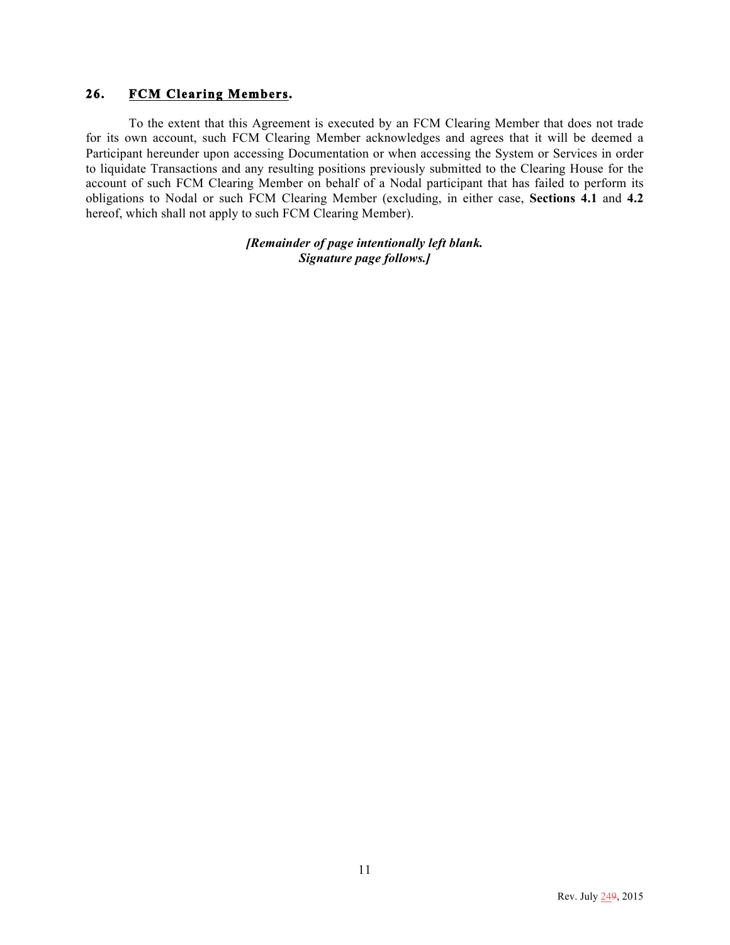## **26. FCM Clearing Members.**

To the extent that this Agreement is executed by an FCM Clearing Member that does not trade for its own account, such FCM Clearing Member acknowledges and agrees that it will be deemed a Participant hereunder upon accessing Documentation or when accessing the System or Services in order to liquidate Transactions and any resulting positions previously submitted to the Clearing House for the account of such FCM Clearing Member on behalf of a Nodal participant that has failed to perform its obligations to Nodal or such FCM Clearing Member (excluding, in either case, **Sections 4.1** and **4.2**  hereof, which shall not apply to such FCM Clearing Member).

> *[Remainder of page intentionally left blank. Signature page follows.]*